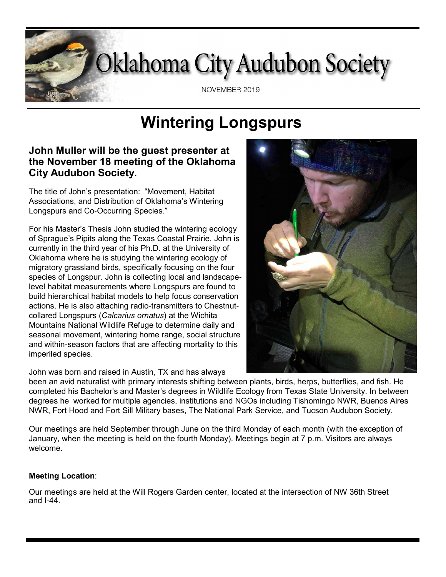

# **Wintering Longspurs**

### **John Muller will be the guest presenter at the November 18 meeting of the Oklahoma City Audubon Society.**

The title of John's presentation: "Movement, Habitat Associations, and Distribution of Oklahoma's Wintering Longspurs and Co-Occurring Species."

For his Master's Thesis John studied the wintering ecology of Sprague's Pipits along the Texas Coastal Prairie. John is currently in the third year of his Ph.D. at the University of Oklahoma where he is studying the wintering ecology of migratory grassland birds, specifically focusing on the four species of Longspur. John is collecting local and landscapelevel habitat measurements where Longspurs are found to build hierarchical habitat models to help focus conservation actions. He is also attaching radio-transmitters to Chestnutcollared Longspurs (*Calcarius ornatus*) at the Wichita Mountains National Wildlife Refuge to determine daily and seasonal movement, wintering home range, social structure and within-season factors that are affecting mortality to this imperiled species.

John was born and raised in Austin, TX and has always

been an avid naturalist with primary interests shifting between plants, birds, herps, butterflies, and fish. He completed his Bachelor's and Master's degrees in Wildlife Ecology from Texas State University. In between degrees he worked for multiple agencies, institutions and NGOs including Tishomingo NWR, Buenos Aires NWR, Fort Hood and Fort Sill Military bases, The National Park Service, and Tucson Audubon Society.

Our meetings are held September through June on the third Monday of each month (with the exception of January, when the meeting is held on the fourth Monday). Meetings begin at 7 p.m. Visitors are always welcome.

#### **Meeting Location**:

Our meetings are held at the Will Rogers Garden center, located at the intersection of NW 36th Street and I-44.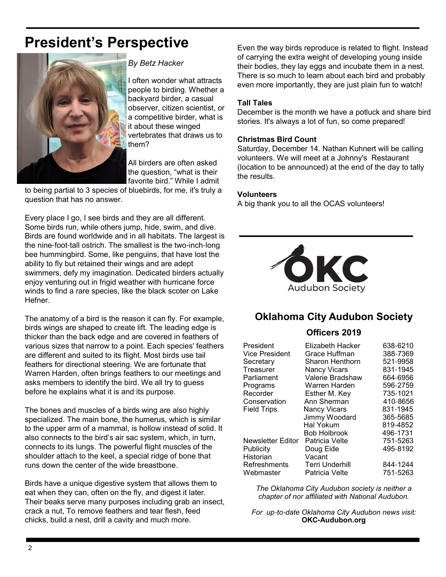# **President's Perspective**



#### *By Betz Hacker*

I often wonder what attracts people to birding. Whether a backyard birder, a casual observer, citizen scientist, or a competitive birder, what is it about these winged vertebrates that draws us to them?

All birders are often asked the question, "what is their favorite bird." While I admit

to being partial to 3 species of bluebirds, for me, it's truly a question that has no answer.

Every place I go, I see birds and they are all different. Some birds run, while others jump, hide, swim, and dive. Birds are found worldwide and in all habitats. The largest is the nine-foot-tall ostrich. The smallest is the two-inch-long bee hummingbird. Some, like penguins, that have lost the ability to fly but retained their wings and are adept swimmers, defy my imagination. Dedicated birders actually enjoy venturing out in frigid weather with hurricane force winds to find a rare species, like the black scoter on Lake Hefner.

The anatomy of a bird is the reason it can fly. For example, birds wings are shaped to create lift. The leading edge is thicker than the back edge and are covered in feathers of various sizes that narrow to a point. Each species' feathers are different and suited to its flight. Most birds use tail feathers for directional steering. We are fortunate that Warren Harden, often brings feathers to our meetings and asks members to identify the bird. We all try to guess before he explains what it is and its purpose.

The bones and muscles of a birds wing are also highly specialized. The main bone, the humerus, which is similar to the upper arm of a mammal, is hollow instead of solid. It also connects to the bird's air sac system, which, in turn, connects to its lungs. The powerful flight muscles of the shoulder attach to the keel, a special ridge of bone that runs down the center of the wide breastbone.

Birds have a unique digestive system that allows them to eat when they can, often on the fly, and digest it later. Their beaks serve many purposes including grab an insect, crack a nut, To remove feathers and tear flesh, feed chicks, build a nest, drill a cavity and much more.

Even the way birds reproduce is related to flight. Instead of carrying the extra weight of developing young inside their bodies, they lay eggs and incubate them in a nest. There is so much to learn about each bird and probably even more importantly, they are just plain fun to watch!

#### **Tall Tales**

December is the month we have a potluck and share bird stories. It's always a lot of fun, so come prepared!

#### **Christmas Bird Count**

Saturday, December 14. Nathan Kuhnert will be calling volunteers. We will meet at a Johnny's Restaurant (location to be announced) at the end of the day to tally the results.

#### **Volunteers**

A big thank you to all the OCAS volunteers!



### **Oklahoma City Audubon Society**

#### **Officers 2019**

| President             | Elizabeth Hacker       | 638-6210 |
|-----------------------|------------------------|----------|
| <b>Vice President</b> | Grace Huffman          | 388-7369 |
| Secretary             | Sharon Henthorn        | 521-9958 |
| Treasurer             | <b>Nancy Vicars</b>    | 831-1945 |
| Parliament            | Valerie Bradshaw       | 664-6956 |
| Programs              | Warren Harden          | 596-2759 |
| Recorder              | Esther M. Key          | 735-1021 |
| Conservation          | Ann Sherman            | 410-8656 |
| <b>Field Trips</b>    | <b>Nancy Vicars</b>    | 831-1945 |
|                       | Jimmy Woodard          | 365-5685 |
|                       | Hal Yokum              | 819-4852 |
|                       | <b>Bob Holbrook</b>    | 496-1731 |
| Newsletter Editor     | Patricia Velte         | 751-5263 |
| Publicity             | Doug Eide              | 495-8192 |
| Historian             | Vacant                 |          |
| Refreshments          | <b>Terri Underhill</b> | 844-1244 |
| Webmaster             | Patricia Velte         | 751-5263 |

*The Oklahoma City Audubon society is neither a chapter of nor affiliated with National Audubon.*

*For up*-*to*-*date Oklahoma City Audubon news visit:* **OKC-Audubon.org**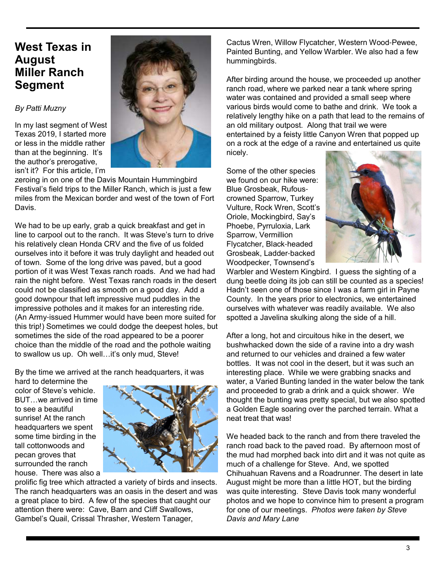## **West Texas in August Miller Ranch Segment**

#### *By Patti Muzny*

In my last segment of West Texas 2019, I started more or less in the middle rather than at the beginning. It's the author's prerogative, isn't it? For this article, I'm



zeroing in on one of the Davis Mountain Hummingbird Festival's field trips to the Miller Ranch, which is just a few miles from the Mexican border and west of the town of Fort Davis.

We had to be up early, grab a quick breakfast and get in line to carpool out to the ranch. It was Steve's turn to drive his relatively clean Honda CRV and the five of us folded ourselves into it before it was truly daylight and headed out of town. Some of the long drive was paved, but a good portion of it was West Texas ranch roads. And we had had rain the night before. West Texas ranch roads in the desert could not be classified as smooth on a good day. Add a good downpour that left impressive mud puddles in the impressive potholes and it makes for an interesting ride. (An Army-issued Hummer would have been more suited for this trip!) Sometimes we could dodge the deepest holes, but sometimes the side of the road appeared to be a poorer choice than the middle of the road and the pothole waiting to swallow us up. Oh well…it's only mud, Steve!

By the time we arrived at the ranch headquarters, it was

hard to determine the color of Steve's vehicle. BUT…we arrived in time to see a beautiful sunrise! At the ranch headquarters we spent some time birding in the tall cottonwoods and pecan groves that surrounded the ranch house. There was also a



prolific fig tree which attracted a variety of birds and insects. The ranch headquarters was an oasis in the desert and was a great place to bird. A few of the species that caught our attention there were: Cave, Barn and Cliff Swallows, Gambel's Quail, Crissal Thrasher, Western Tanager,

Cactus Wren, Willow Flycatcher, Western Wood-Pewee, Painted Bunting, and Yellow Warbler. We also had a few hummingbirds.

After birding around the house, we proceeded up another ranch road, where we parked near a tank where spring water was contained and provided a small seep where various birds would come to bathe and drink. We took a relatively lengthy hike on a path that lead to the remains of an old military outpost. Along that trail we were entertained by a feisty little Canyon Wren that popped up on a rock at the edge of a ravine and entertained us quite nicely.

Some of the other species we found on our hike were: Blue Grosbeak, Rufouscrowned Sparrow, Turkey Vulture, Rock Wren, Scott's Oriole, Mockingbird, Say's Phoebe, Pyrruloxia, Lark Sparrow, Vermillion Flycatcher, Black-headed Grosbeak, Ladder-backed Woodpecker, Townsend's



Warbler and Western Kingbird. I guess the sighting of a dung beetle doing its job can still be counted as a species! Hadn't seen one of those since I was a farm girl in Payne County. In the years prior to electronics, we entertained ourselves with whatever was readily available. We also spotted a Javelina skulking along the side of a hill.

After a long, hot and circuitous hike in the desert, we bushwhacked down the side of a ravine into a dry wash and returned to our vehicles and drained a few water bottles. It was not cool in the desert, but it was such an interesting place. While we were grabbing snacks and water, a Varied Bunting landed in the water below the tank and proceeded to grab a drink and a quick shower. We thought the bunting was pretty special, but we also spotted a Golden Eagle soaring over the parched terrain. What a neat treat that was!

We headed back to the ranch and from there traveled the ranch road back to the paved road. By afternoon most of the mud had morphed back into dirt and it was not quite as much of a challenge for Steve. And, we spotted Chihuahuan Ravens and a Roadrunner. The desert in late August might be more than a little HOT, but the birding was quite interesting. Steve Davis took many wonderful photos and we hope to convince him to present a program for one of our meetings. *Photos were taken by Steve Davis and Mary Lane*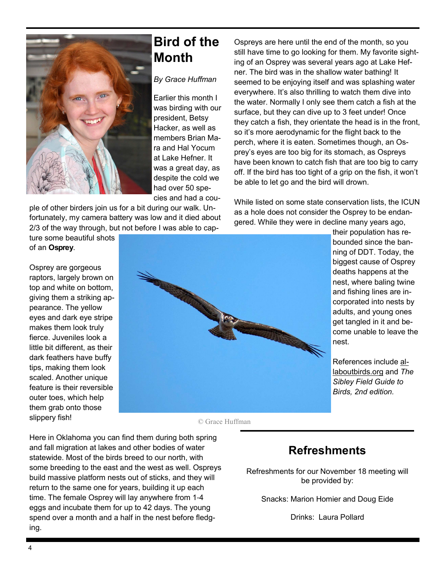

# **Bird of the Month**

#### *By Grace Huffman*

Earlier this month I was birding with our president, Betsy Hacker, as well as members Brian Mara and Hal Yocum at Lake Hefner. It was a great day, as despite the cold we had over 50 species and had a cou-

ple of other birders join us for a bit during our walk. Unfortunately, my camera battery was low and it died about 2/3 of the way through, but not before I was able to cap-

ture some beautiful shots of an **Osprey**.

Osprey are gorgeous raptors, largely brown on top and white on bottom, giving them a striking appearance. The yellow eyes and dark eye stripe makes them look truly fierce. Juveniles look a little bit different, as their dark feathers have buffy tips, making them look scaled. Another unique feature is their reversible outer toes, which help them grab onto those slippery fish!



Ospreys are here until the end of the month, so you still have time to go looking for them. My favorite sighting of an Osprey was several years ago at Lake Hefner. The bird was in the shallow water bathing! It seemed to be enjoying itself and was splashing water everywhere. It's also thrilling to watch them dive into the water. Normally I only see them catch a fish at the surface, but they can dive up to 3 feet under! Once they catch a fish, they orientate the head is in the front, so it's more aerodynamic for the flight back to the perch, where it is eaten. Sometimes though, an Osprey's eyes are too big for its stomach, as Ospreys have been known to catch fish that are too big to carry off. If the bird has too tight of a grip on the fish, it won't be able to let go and the bird will drown.

While listed on some state conservation lists, the ICUN as a hole does not consider the Osprey to be endangered. While they were in decline many years ago,

> their population has rebounded since the banning of DDT. Today, the biggest cause of Osprey deaths happens at the nest, where baling twine and fishing lines are incorporated into nests by adults, and young ones get tangled in it and become unable to leave the nest.

References include allaboutbirds.org and *The Sibley Field Guide to Birds, 2nd edition.*

© Grace Huffman

Here in Oklahoma you can find them during both spring and fall migration at lakes and other bodies of water statewide. Most of the birds breed to our north, with some breeding to the east and the west as well. Ospreys build massive platform nests out of sticks, and they will return to the same one for years, building it up each time. The female Osprey will lay anywhere from 1-4 eggs and incubate them for up to 42 days. The young spend over a month and a half in the nest before fledging.

## **Refreshments**

Refreshments for our November 18 meeting will be provided by:

Snacks: Marion Homier and Doug Eide

Drinks: Laura Pollard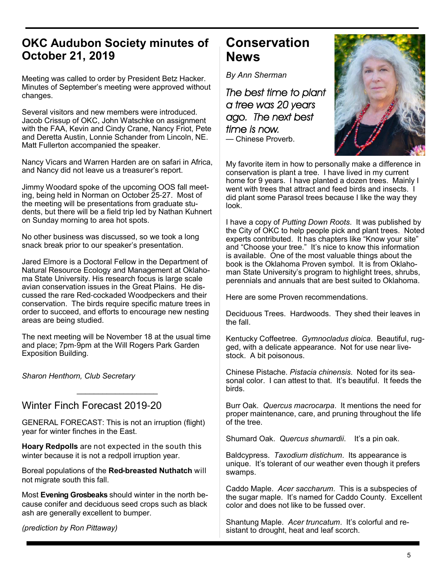## **OKC Audubon Society minutes of October 21, 2019**

Meeting was called to order by President Betz Hacker. Minutes of September's meeting were approved without changes.

Several visitors and new members were introduced. Jacob Crissup of OKC, John Watschke on assignment with the FAA, Kevin and Cindy Crane, Nancy Friot, Pete and Deretta Austin, Lonnie Schander from Lincoln, NE. Matt Fullerton accompanied the speaker.

Nancy Vicars and Warren Harden are on safari in Africa, and Nancy did not leave us a treasurer's report.

Jimmy Woodard spoke of the upcoming OOS fall meeting, being held in Norman on October 25-27. Most of the meeting will be presentations from graduate students, but there will be a field trip led by Nathan Kuhnert on Sunday morning to area hot spots.

No other business was discussed, so we took a long snack break prior to our speaker's presentation.

Jared Elmore is a Doctoral Fellow in the Department of Natural Resource Ecology and Management at Oklahoma State University. His research focus is large scale avian conservation issues in the Great Plains. He discussed the rare Red-cockaded Woodpeckers and their conservation. The birds require specific mature trees in order to succeed, and efforts to encourage new nesting areas are being studied.

The next meeting will be November 18 at the usual time and place; 7pm-9pm at the Will Rogers Park Garden Exposition Building.

*\_\_\_\_\_\_\_\_\_\_\_\_\_\_\_\_\_\_\_*

*Sharon Henthorn, Club Secretary*

### Winter Finch Forecast 2019-20

GENERAL FORECAST: This is not an irruption (flight) year for winter finches in the East.

**Hoary Redpolls** are not expected in the south this winter because it is not a redpoll irruption year.

Boreal populations of the **Red-breasted Nuthatch** will not migrate south this fall.

Most **Evening Grosbeaks** should winter in the north because conifer and deciduous seed crops such as black ash are generally excellent to bumper.

*(prediction by Ron Pittaway)*

## **Conservation News**

*By Ann Sherman*

*The best time to plant a tree was 20 years ago. The next best time is now.*  — Chinese Proverb.



My favorite item in how to personally make a difference in conservation is plant a tree. I have lived in my current home for 9 years. I have planted a dozen trees. Mainly I went with trees that attract and feed birds and insects. I did plant some Parasol trees because I like the way they look.

I have a copy of *Putting Down Roots*. It was published by the City of OKC to help people pick and plant trees. Noted experts contributed. It has chapters like "Know your site" and "Choose your tree." It's nice to know this information is available. One of the most valuable things about the book is the Oklahoma Proven symbol. It is from Oklahoman State University's program to highlight trees, shrubs, perennials and annuals that are best suited to Oklahoma.

Here are some Proven recommendations.

Deciduous Trees. Hardwoods. They shed their leaves in the fall.

Kentucky Coffeetree. *Gymnocladus dioica*. Beautiful, rugged, with a delicate appearance. Not for use near livestock. A bit poisonous.

Chinese Pistache. *Pistacia chinensis*. Noted for its seasonal color. I can attest to that. It's beautiful. It feeds the birds.

Burr Oak. *Quercus macrocarpa*. It mentions the need for proper maintenance, care, and pruning throughout the life of the tree.

Shumard Oak. *Quercus shumardii*. It's a pin oak.

Baldcypress. *Taxodium distichum*. Its appearance is unique. It's tolerant of our weather even though it prefers swamps.

Caddo Maple. *Acer saccharum*. This is a subspecies of the sugar maple. It's named for Caddo County. Excellent color and does not like to be fussed over.

Shantung Maple. *Acer truncatum*. It's colorful and resistant to drought, heat and leaf scorch.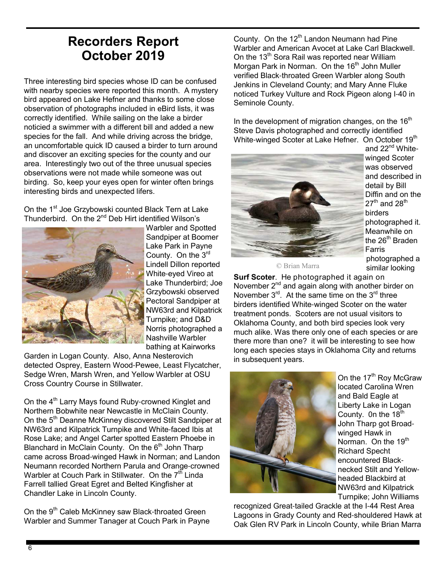## **Recorders Report October 2019**

Three interesting bird species whose ID can be confused with nearby species were reported this month. A mystery bird appeared on Lake Hefner and thanks to some close observation of photographs included in eBird lists, it was correctly identified. While sailing on the lake a birder noticied a swimmer with a different bill and added a new species for the fall. And while driving across the bridge, an uncomfortable quick ID caused a birder to turn around and discover an exciting species for the county and our area. Interestingly two out of the three unusual species observations were not made while someone was out birding. So, keep your eyes open for winter often brings interesting birds and unexpected lifers.

On the 1<sup>st</sup> Joe Grzybowski counted Black Tern at Lake Thunderbird. On the  $2^{nd}$  Deb Hirt identified Wilson's



Warbler and Spotted Sandpiper at Boomer Lake Park in Payne County. On the 3<sup>rd</sup> Lindell Dillon reported White-eyed Vireo at Lake Thunderbird; Joe Grzybowski observed Pectoral Sandpiper at NW63rd and Kilpatrick Turnpike; and D&D Norris photographed a Nashville Warbler bathing at Kairworks

Garden in Logan County. Also, Anna Nesterovich detected Osprey, Eastern Wood-Pewee, Least Flycatcher, Sedge Wren, Marsh Wren, and Yellow Warbler at OSU Cross Country Course in Stillwater.

On the 4<sup>th</sup> Larry Mays found Ruby-crowned Kinglet and Northern Bobwhite near Newcastle in McClain County. On the 5<sup>th</sup> Deanne McKinney discovered Stilt Sandpiper at NW63rd and Kilpatrick Turnpike and White-faced Ibis at Rose Lake; and Angel Carter spotted Eastern Phoebe in Blanchard in McClain County. On the  $6<sup>th</sup>$  John Tharp came across Broad-winged Hawk in Norman; and Landon Neumann recorded Northern Parula and Orange-crowned Warbler at Couch Park in Stillwater. On the  $7<sup>th</sup>$  Linda Farrell tallied Great Egret and Belted Kingfisher at Chandler Lake in Lincoln County.

On the 9<sup>th</sup> Caleb McKinney saw Black-throated Green Warbler and Summer Tanager at Couch Park in Payne County. On the  $12<sup>th</sup>$  Landon Neumann had Pine Warbler and American Avocet at Lake Carl Blackwell. On the  $13<sup>th</sup>$  Sora Rail was reported near William Morgan Park in Norman. On the 16<sup>th</sup> John Muller verified Black-throated Green Warbler along South Jenkins in Cleveland County; and Mary Anne Fluke noticed Turkey Vulture and Rock Pigeon along I-40 in Seminole County.

In the development of migration changes, on the  $16<sup>th</sup>$ Steve Davis photographed and correctly identified White-winged Scoter at Lake Hefner. On October 19<sup>th</sup>



and 22<sup>nd</sup> Whitewinged Scoter was observed and described in detail by Bill Diffin and on the  $27^{\text{th}}$  and  $28^{\text{th}}$ birders photographed it. Meanwhile on the  $26<sup>th</sup>$  Braden Farris photographed a similar looking

© Brian Marra

**Surf Scoter**. He photographed it again on November 2<sup>nd</sup> and again along with another birder on November  $3^{\text{rd}}$ . At the same time on the  $3^{\text{rd}}$  three birders identified White-winged Scoter on the water treatment ponds. Scoters are not usual visitors to Oklahoma County, and both bird species look very much alike. Was there only one of each species or are there more than one? it will be interesting to see how long each species stays in Oklahoma City and returns in subsequent years.



On the 17<sup>th</sup> Roy McGraw located Carolina Wren and Bald Eagle at Liberty Lake in Logan County. On the  $18<sup>th</sup>$ John Tharp got Broadwinged Hawk in Norman. On the 19<sup>th</sup> Richard Specht encountered Blacknecked Stilt and Yellowheaded Blackbird at NW63rd and Kilpatrick Turnpike; John Williams

recognized Great-tailed Grackle at the I-44 Rest Area Lagoons in Grady County and Red-shouldered Hawk at Oak Glen RV Park in Lincoln County, while Brian Marra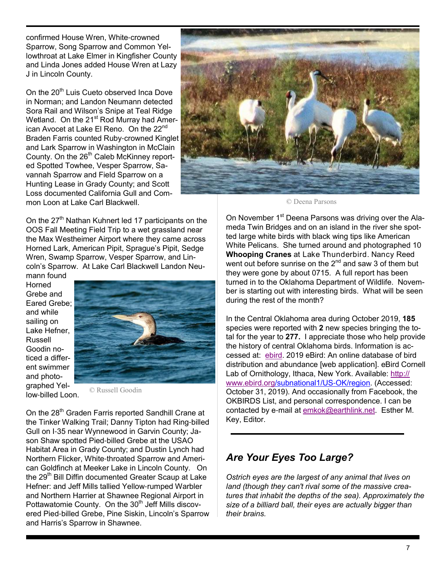confirmed House Wren, White-crowned Sparrow, Song Sparrow and Common Yellowthroat at Lake Elmer in Kingfisher County and Linda Jones added House Wren at Lazy J in Lincoln County.

On the 20<sup>th</sup> Luis Cueto observed Inca Dove in Norman; and Landon Neumann detected Sora Rail and Wilson's Snipe at Teal Ridge Wetland. On the 21<sup>st</sup> Rod Murray had American Avocet at Lake El Reno. On the 22<sup>nd</sup> Braden Farris counted Ruby-crowned Kinglet and Lark Sparrow in Washington in McClain County. On the 26<sup>th</sup> Caleb McKinney reported Spotted Towhee, Vesper Sparrow, Savannah Sparrow and Field Sparrow on a Hunting Lease in Grady County; and Scott Loss documented California Gull and Common Loon at Lake Carl Blackwell.

On the  $27<sup>th</sup>$  Nathan Kuhnert led 17 participants on the OOS Fall Meeting Field Trip to a wet grassland near the Max Westheimer Airport where they came across Horned Lark, American Pipit, Sprague's Pipit, Sedge Wren, Swamp Sparrow, Vesper Sparrow, and Lincoln's Sparrow. At Lake Carl Blackwell Landon Neumann found

Horned Grebe and Eared Grebe; and while sailing on Lake Hefner, Russell Goodin noticed a different swimmer and photographed Yellow-billed Loon.



© Russell Goodin

On the 28<sup>th</sup> Graden Farris reported Sandhill Crane at the Tinker Walking Trail; Danny Tipton had Ring-billed Gull on I-35 near Wynnewood in Garvin County; Jason Shaw spotted Pied-billed Grebe at the USAO Habitat Area in Grady County; and Dustin Lynch had Northern Flicker, White-throated Sparrow and American Goldfinch at Meeker Lake in Lincoln County. On the 29<sup>th</sup> Bill Diffin documented Greater Scaup at Lake Hefner: and Jeff Mills tallied Yellow-rumped Warbler and Northern Harrier at Shawnee Regional Airport in Pottawatomie County. On the 30<sup>th</sup> Jeff Mills discovered Pied-billed Grebe, Pine Siskin, Lincoln's Sparrow and Harris's Sparrow in Shawnee.



© Deena Parsons

On November 1<sup>st</sup> Deena Parsons was driving over the Alameda Twin Bridges and on an island in the river she spotted large white birds with black wing tips like American White Pelicans. She turned around and photographed 10 **Whooping Cranes** at Lake Thunderbird. Nancy Reed went out before sunrise on the  $2^{nd}$  and saw 3 of them but they were gone by about 0715. A full report has been turned in to the Oklahoma Department of Wildlife. November is starting out with interesting birds. What will be seen during the rest of the month?

In the Central Oklahoma area during October 2019, **185** species were reported with **2** new species bringing the total for the year to **277.** I appreciate those who help provide the history of central Oklahoma birds. Information is accessed at: ebird. 2019 eBird: An online database of bird distribution and abundance [web application]. eBird Cornell Lab of Ornithology, Ithaca, New York. Available: http:// www.ebird.org/subnational1/US-OK/region. (Accessed: October 31, 2019). And occasionally from Facebook, the OKBIRDS List, and personal correspondence. I can be contacted by e-mail at emkok@earthlink.net. Esther M. Key, Editor.

### *Are Your Eyes Too Large?*

*Ostrich eyes are the largest of any animal that lives on land (though they can't rival some of the massive creatures that inhabit the depths of the sea). Approximately the size of a billiard ball, their eyes are actually bigger than their brains.*